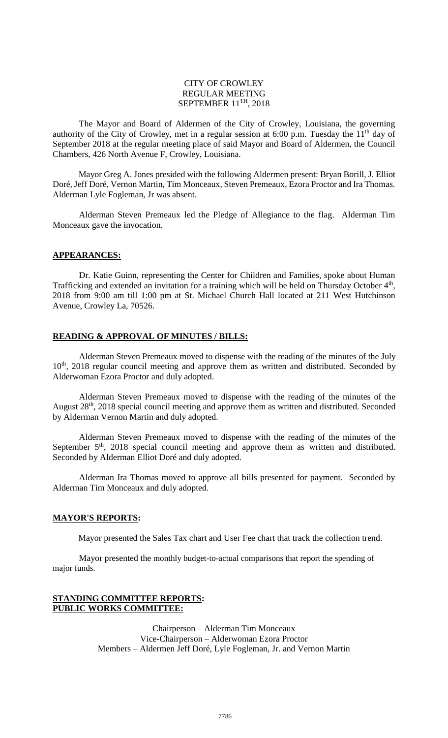### CITY OF CROWLEY REGULAR MEETING SEPTEMBER 11<sup>TH</sup>, 2018

The Mayor and Board of Aldermen of the City of Crowley, Louisiana, the governing authority of the City of Crowley, met in a regular session at 6:00 p.m. Tuesday the  $11<sup>th</sup>$  day of September 2018 at the regular meeting place of said Mayor and Board of Aldermen, the Council Chambers, 426 North Avenue F, Crowley, Louisiana.

Mayor Greg A. Jones presided with the following Aldermen present: Bryan Borill, J. Elliot Doré, Jeff Doré, Vernon Martin, Tim Monceaux, Steven Premeaux, Ezora Proctor and Ira Thomas. Alderman Lyle Fogleman, Jr was absent.

Alderman Steven Premeaux led the Pledge of Allegiance to the flag. Alderman Tim Monceaux gave the invocation.

# **APPEARANCES:**

Dr. Katie Guinn, representing the Center for Children and Families, spoke about Human Trafficking and extended an invitation for a training which will be held on Thursday October 4<sup>th</sup>, 2018 from 9:00 am till 1:00 pm at St. Michael Church Hall located at 211 West Hutchinson Avenue, Crowley La, 70526.

# **READING & APPROVAL OF MINUTES / BILLS:**

Alderman Steven Premeaux moved to dispense with the reading of the minutes of the July 10<sup>th</sup>, 2018 regular council meeting and approve them as written and distributed. Seconded by Alderwoman Ezora Proctor and duly adopted.

Alderman Steven Premeaux moved to dispense with the reading of the minutes of the August 28<sup>th</sup>, 2018 special council meeting and approve them as written and distributed. Seconded by Alderman Vernon Martin and duly adopted.

Alderman Steven Premeaux moved to dispense with the reading of the minutes of the September  $5<sup>th</sup>$ , 2018 special council meeting and approve them as written and distributed. Seconded by Alderman Elliot Doré and duly adopted.

Alderman Ira Thomas moved to approve all bills presented for payment. Seconded by Alderman Tim Monceaux and duly adopted.

#### **MAYOR'S REPORTS:**

Mayor presented the Sales Tax chart and User Fee chart that track the collection trend.

Mayor presented the monthly budget-to-actual comparisons that report the spending of major funds.

### **STANDING COMMITTEE REPORTS: PUBLIC WORKS COMMITTEE:**

Chairperson – Alderman Tim Monceaux Vice-Chairperson – Alderwoman Ezora Proctor Members – Aldermen Jeff Doré, Lyle Fogleman, Jr. and Vernon Martin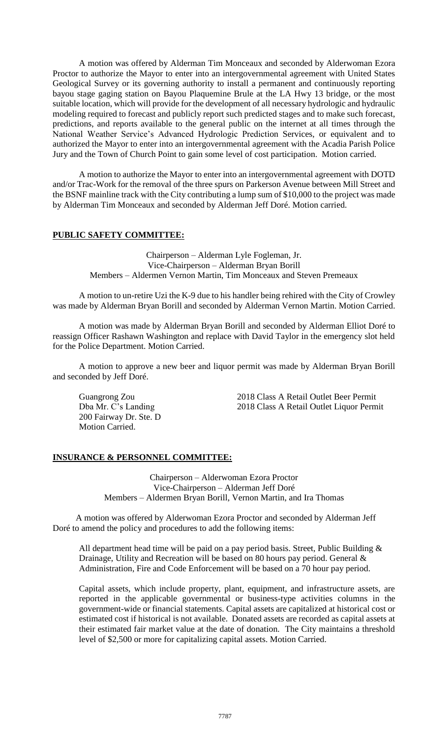A motion was offered by Alderman Tim Monceaux and seconded by Alderwoman Ezora Proctor to authorize the Mayor to enter into an intergovernmental agreement with United States Geological Survey or its governing authority to install a permanent and continuously reporting bayou stage gaging station on Bayou Plaquemine Brule at the LA Hwy 13 bridge, or the most suitable location, which will provide for the development of all necessary hydrologic and hydraulic modeling required to forecast and publicly report such predicted stages and to make such forecast, predictions, and reports available to the general public on the internet at all times through the National Weather Service's Advanced Hydrologic Prediction Services, or equivalent and to authorized the Mayor to enter into an intergovernmental agreement with the Acadia Parish Police Jury and the Town of Church Point to gain some level of cost participation. Motion carried.

A motion to authorize the Mayor to enter into an intergovernmental agreement with DOTD and/or Trac-Work for the removal of the three spurs on Parkerson Avenue between Mill Street and the BSNF mainline track with the City contributing a lump sum of \$10,000 to the project was made by Alderman Tim Monceaux and seconded by Alderman Jeff Doré. Motion carried.

# **PUBLIC SAFETY COMMITTEE:**

Chairperson – Alderman Lyle Fogleman, Jr. Vice-Chairperson – Alderman Bryan Borill Members – Aldermen Vernon Martin, Tim Monceaux and Steven Premeaux

A motion to un-retire Uzi the K-9 due to his handler being rehired with the City of Crowley was made by Alderman Bryan Borill and seconded by Alderman Vernon Martin. Motion Carried.

A motion was made by Alderman Bryan Borill and seconded by Alderman Elliot Doré to reassign Officer Rashawn Washington and replace with David Taylor in the emergency slot held for the Police Department. Motion Carried.

A motion to approve a new beer and liquor permit was made by Alderman Bryan Borill and seconded by Jeff Doré.

200 Fairway Dr. Ste. D Motion Carried.

Guangrong Zou 2018 Class A Retail Outlet Beer Permit Dba Mr. C's Landing 2018 Class A Retail Outlet Liquor Permit

### **INSURANCE & PERSONNEL COMMITTEE:**

Chairperson – Alderwoman Ezora Proctor Vice-Chairperson – Alderman Jeff Doré Members – Aldermen Bryan Borill, Vernon Martin, and Ira Thomas

A motion was offered by Alderwoman Ezora Proctor and seconded by Alderman Jeff Doré to amend the policy and procedures to add the following items:

All department head time will be paid on a pay period basis. Street, Public Building  $\&$ Drainage, Utility and Recreation will be based on 80 hours pay period. General  $\&$ Administration, Fire and Code Enforcement will be based on a 70 hour pay period.

Capital assets, which include property, plant, equipment, and infrastructure assets, are reported in the applicable governmental or business-type activities columns in the government-wide or financial statements. Capital assets are capitalized at historical cost or estimated cost if historical is not available. Donated assets are recorded as capital assets at their estimated fair market value at the date of donation. The City maintains a threshold level of \$2,500 or more for capitalizing capital assets. Motion Carried.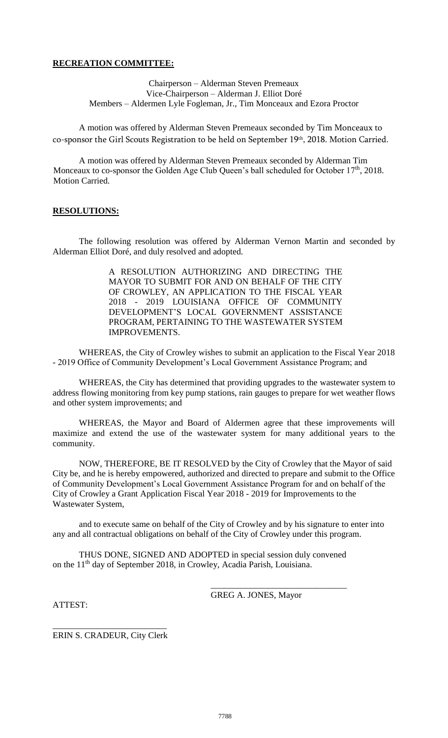# **RECREATION COMMITTEE:**

Chairperson – Alderman Steven Premeaux Vice-Chairperson – Alderman J. Elliot Doré Members – Aldermen Lyle Fogleman, Jr., Tim Monceaux and Ezora Proctor

A motion was offered by Alderman Steven Premeaux seconded by Tim Monceaux to co-sponsor the Girl Scouts Registration to be held on September 19th, 2018. Motion Carried.

A motion was offered by Alderman Steven Premeaux seconded by Alderman Tim Monceaux to co-sponsor the Golden Age Club Queen's ball scheduled for October 17<sup>th</sup>, 2018. Motion Carried.

### **RESOLUTIONS:**

The following resolution was offered by Alderman Vernon Martin and seconded by Alderman Elliot Doré, and duly resolved and adopted.

> A RESOLUTION AUTHORIZING AND DIRECTING THE MAYOR TO SUBMIT FOR AND ON BEHALF OF THE CITY OF CROWLEY, AN APPLICATION TO THE FISCAL YEAR 2018 - 2019 LOUISIANA OFFICE OF COMMUNITY DEVELOPMENT'S LOCAL GOVERNMENT ASSISTANCE PROGRAM, PERTAINING TO THE WASTEWATER SYSTEM IMPROVEMENTS.

WHEREAS, the City of Crowley wishes to submit an application to the Fiscal Year 2018 - 2019 Office of Community Development's Local Government Assistance Program; and

WHEREAS, the City has determined that providing upgrades to the wastewater system to address flowing monitoring from key pump stations, rain gauges to prepare for wet weather flows and other system improvements; and

WHEREAS, the Mayor and Board of Aldermen agree that these improvements will maximize and extend the use of the wastewater system for many additional years to the community.

NOW, THEREFORE, BE IT RESOLVED by the City of Crowley that the Mayor of said City be, and he is hereby empowered, authorized and directed to prepare and submit to the Office of Community Development's Local Government Assistance Program for and on behalf of the City of Crowley a Grant Application Fiscal Year 2018 - 2019 for Improvements to the Wastewater System,

and to execute same on behalf of the City of Crowley and by his signature to enter into any and all contractual obligations on behalf of the City of Crowley under this program.

THUS DONE, SIGNED AND ADOPTED in special session duly convened on the 11<sup>th</sup> day of September 2018, in Crowley, Acadia Parish, Louisiana.

GREG A. JONES, Mayor

\_\_\_\_\_\_\_\_\_\_\_\_\_\_\_\_\_\_\_\_\_\_\_\_\_\_\_\_\_\_\_

ATTEST:

\_\_\_\_\_\_\_\_\_\_\_\_\_\_\_\_\_\_\_\_\_\_\_\_\_\_ ERIN S. CRADEUR, City Clerk